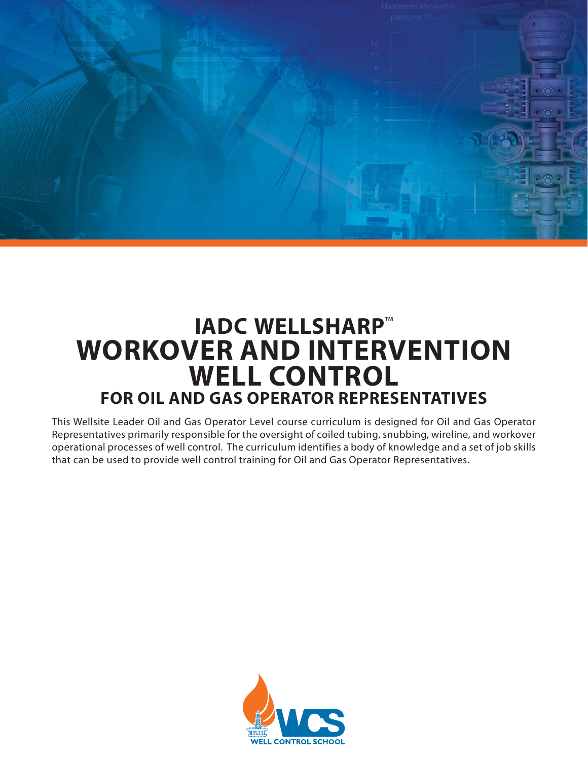

# **IADC WELLSHARP**™ **WORKOVER AND INTERVENTION WELL CONTROL FOR OIL AND GAS OPERATOR REPRESENTATIVES**

This Wellsite Leader Oil and Gas Operator Level course curriculum is designed for Oil and Gas Operator Representatives primarily responsible for the oversight of coiled tubing, snubbing, wireline, and workover operational processes of well control. The curriculum identifies a body of knowledge and a set of job skills that can be used to provide well control training for Oil and Gas Operator Representatives.